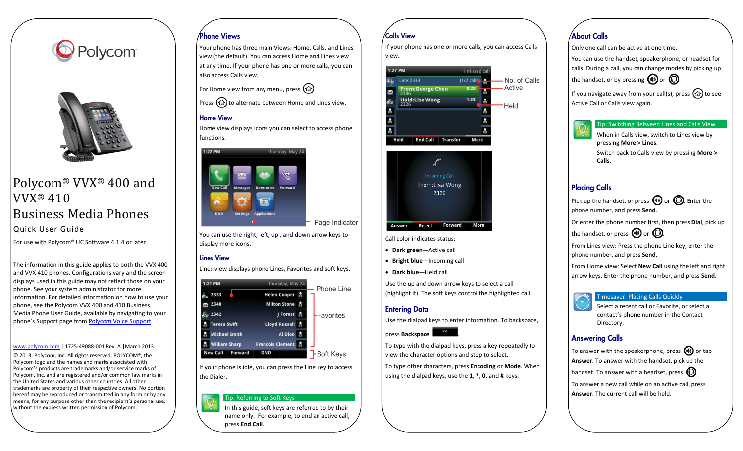



# Polycom® VVX® 400 and VVX® 410 Business Media Phones Quick User Guide

For use with Polycom® UC Software 4.1.4 or later

The information in this guide applies to both the VVX 400 and VVX 410 phones. Configurations vary and the screen displays used in this guide may not reflect those on your phone. See your system administrator for more information. For detailed information on how to use your phone, see the Polycom VVX 400 and 410 Business Media Phone User Guide, available by navigating to your phone's Support page fro[m Polycom Voice Support.](http://support.polycom.com/PolycomService/support/us/support/voice/index.html)

#### [www.polycom.com](http://www.polycom.com/) | 1725-49088-001 Rev. A |March 2013

© 2013, Polycom, Inc. All rights reserved. POLYCOM®, the Polycom logo and the names and marks associated with Polycom's products are trademarks and/or service marks of Polycom, Inc. and are registered and/or common law marks in the United States and various other countries. All other trademarks are property of their respective owners. No portion hereof may be reproduced or transmitted in any form or by any means, for any purpose other than the recipient's personal use, without the express written permission of Polycom.

### Phone Views

Your phone has three main Views: Home, Calls, and Lines view (the default). You can access Home and Lines view at any time. If your phone has one or more calls, you can also access Calls view.

For Home view from any menu, press  $(\hat{\omega})$ .

Press  $\textcircled{a}$  to alternate between Home and Lines view.

#### Home View

Home view displays icons you can select to access phone functions.



You can use the right, left, up , and down arrow keys to display more icons.

#### Lines View

Lines view displays phone Lines, Favorites and soft keys.



If your phone is idle, you can press the Line key to access the Dialer.

#### Tip: Referring to Soft Keys

In this guide, soft keys are referred to by their name only. For example, to end an active call, press **End Call**.

### Calls View

If your phone has one or more calls, you can access Calls view.





Call color indicates status:

- **Dark green**—Active call
- **Bright blue**—Incoming call
- **Dark blue**—Held call

Use the up and down arrow keys to select a call (highlight it). The soft keys control the highlighted call.

#### Entering Data

Use the dialpad keys to enter information. To backspace,

press **Backspace** 

To type with the dialpad keys, press a key repeatedly to view the character options and stop to select.

To type other characters, press **Encoding** or **Mode**. When using the dialpad keys, use the **1**, **\***, **0**, and **#** keys.

# About Calls

Only one call can be active at one time.

You can use the handset, speakerphone, or headset for calls. During a call, you can change modes by picking up the handset, or by pressing  $\bigcirc$  or  $\bigcirc$ .

If you navigate away from your call(s), press  $\textcircled{\tiny{12}}$  to see Active Call or Calls view again.

#### Tip: Switching Between Lines and Calls View

When in Calls view, switch to Lines view by pressing **More > Lines**. Switch back to Calls view by pressing **More > Calls**.

### Placing Calls

Pick up the handset, or press  $\bigcirc$  or  $\bigcirc$ . Enter the phone number, and press **Send**.

Or enter the phone number first, then press **Dial**, pick up the handset, or press  $\bigcirc$  or  $\bigcirc$ .

From Lines view: Press the phone Line key, enter the phone number, and press **Send**.

From Home view: Select **New Call** using the left and right arrow keys. Enter the phone number, and press **Send**.



Select a recent call or Favorite, or select a contact's phone number in the Contact Directory.

#### Answering Calls

To answer with the speakerphone, press  $\Box$  or tap **Answer**. To answer with the handset, pick up the handset. To answer with a headset, press  $\mathbb{Q}$ .

To answer a new call while on an active call, press **Answer**. The current call will be held.